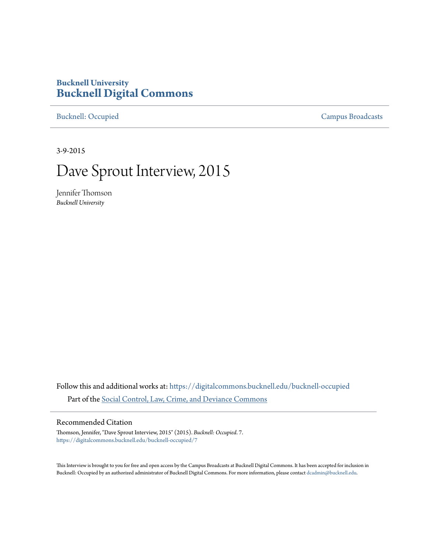# **Bucknell University [Bucknell Digital Commons](https://digitalcommons.bucknell.edu?utm_source=digitalcommons.bucknell.edu%2Fbucknell-occupied%2F7&utm_medium=PDF&utm_campaign=PDFCoverPages)**

[Bucknell: Occupied](https://digitalcommons.bucknell.edu/bucknell-occupied?utm_source=digitalcommons.bucknell.edu%2Fbucknell-occupied%2F7&utm_medium=PDF&utm_campaign=PDFCoverPages) [Campus Broadcasts](https://digitalcommons.bucknell.edu/campus-broadcasts?utm_source=digitalcommons.bucknell.edu%2Fbucknell-occupied%2F7&utm_medium=PDF&utm_campaign=PDFCoverPages)

3-9-2015

# Dave Sprout Interview, 2015

Jennifer Thomson *Bucknell University*

Follow this and additional works at: [https://digitalcommons.bucknell.edu/bucknell-occupied](https://digitalcommons.bucknell.edu/bucknell-occupied?utm_source=digitalcommons.bucknell.edu%2Fbucknell-occupied%2F7&utm_medium=PDF&utm_campaign=PDFCoverPages) Part of the [Social Control, Law, Crime, and Deviance Commons](http://network.bepress.com/hgg/discipline/429?utm_source=digitalcommons.bucknell.edu%2Fbucknell-occupied%2F7&utm_medium=PDF&utm_campaign=PDFCoverPages)

#### Recommended Citation

Thomson, Jennifer, "Dave Sprout Interview, 2015" (2015). *Bucknell: Occupied*. 7. [https://digitalcommons.bucknell.edu/bucknell-occupied/7](https://digitalcommons.bucknell.edu/bucknell-occupied/7?utm_source=digitalcommons.bucknell.edu%2Fbucknell-occupied%2F7&utm_medium=PDF&utm_campaign=PDFCoverPages)

This Interview is brought to you for free and open access by the Campus Broadcasts at Bucknell Digital Commons. It has been accepted for inclusion in Bucknell: Occupied by an authorized administrator of Bucknell Digital Commons. For more information, please contact [dcadmin@bucknell.edu](mailto:dcadmin@bucknell.edu).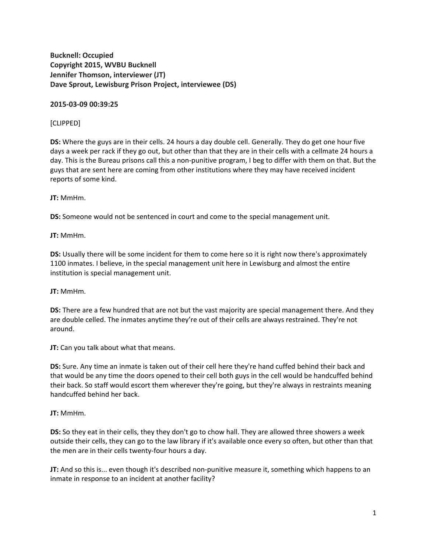**Bucknell: Occupied Copyright 2015, WVBU Bucknell Jennifer Thomson, interviewer (JT) Dave Sprout, Lewisburg Prison Project, interviewee (DS)**

**2015-03-09 00:39:25**

## [CLIPPED]

**DS:** Where the guys are in their cells. 24 hours a day double cell. Generally. They do get one hour five days a week per rack if they go out, but other than that they are in their cells with a cellmate 24 hours a day. This is the Bureau prisons call this a non-punitive program, I beg to differ with them on that. But the guys that are sent here are coming from other institutions where they may have received incident reports of some kind.

**JT:** MmHm.

**DS:** Someone would not be sentenced in court and come to the special management unit.

**JT:** MmHm.

**DS:** Usually there will be some incident for them to come here so it is right now there's approximately 1100 inmates. I believe, in the special management unit here in Lewisburg and almost the entire institution is special management unit.

**JT:** MmHm.

**DS:** There are a few hundred that are not but the vast majority are special management there. And they are double celled. The inmates anytime they're out of their cells are always restrained. They're not around.

**JT:** Can you talk about what that means.

**DS:** Sure. Any time an inmate is taken out of their cell here they're hand cuffed behind their back and that would be any time the doors opened to their cell both guys in the cell would be handcuffed behind their back. So staff would escort them wherever they're going, but they're always in restraints meaning handcuffed behind her back.

# **JT:** MmHm.

**DS:** So they eat in their cells, they they don't go to chow hall. They are allowed three showers a week outside their cells, they can go to the law library if it's available once every so often, but other than that the men are in their cells twenty-four hours a day.

**JT:** And so this is... even though it's described non-punitive measure it, something which happens to an inmate in response to an incident at another facility?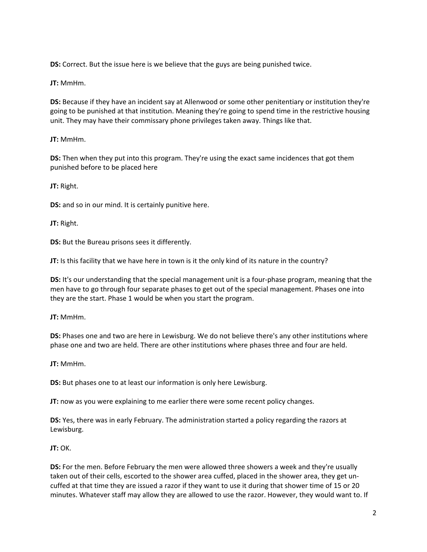**DS:** Correct. But the issue here is we believe that the guys are being punished twice.

**JT:** MmHm.

**DS:** Because if they have an incident say at Allenwood or some other penitentiary or institution they're going to be punished at that institution. Meaning they're going to spend time in the restrictive housing unit. They may have their commissary phone privileges taken away. Things like that.

**JT:** MmHm.

**DS:** Then when they put into this program. They're using the exact same incidences that got them punished before to be placed here

**JT:** Right.

**DS:** and so in our mind. It is certainly punitive here.

**JT:** Right.

**DS:** But the Bureau prisons sees it differently.

**JT:** Is this facility that we have here in town is it the only kind of its nature in the country?

**DS:** It's our understanding that the special management unit is a four-phase program, meaning that the men have to go through four separate phases to get out of the special management. Phases one into they are the start. Phase 1 would be when you start the program.

**JT:** MmHm.

**DS:** Phases one and two are here in Lewisburg. We do not believe there's any other institutions where phase one and two are held. There are other institutions where phases three and four are held.

**JT:** MmHm.

**DS:** But phases one to at least our information is only here Lewisburg.

**JT:** now as you were explaining to me earlier there were some recent policy changes.

**DS:** Yes, there was in early February. The administration started a policy regarding the razors at Lewisburg.

**JT:** OK.

**DS:** For the men. Before February the men were allowed three showers a week and they're usually taken out of their cells, escorted to the shower area cuffed, placed in the shower area, they get uncuffed at that time they are issued a razor if they want to use it during that shower time of 15 or 20 minutes. Whatever staff may allow they are allowed to use the razor. However, they would want to. If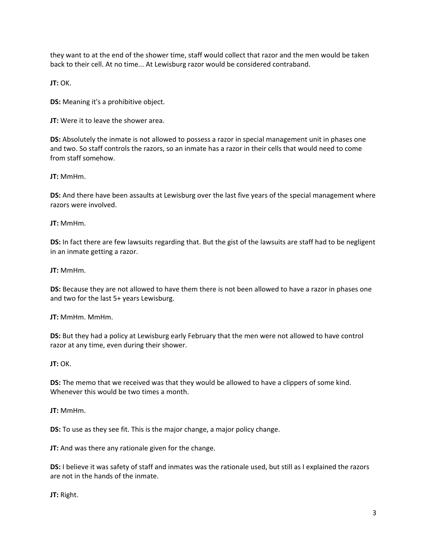they want to at the end of the shower time, staff would collect that razor and the men would be taken back to their cell. At no time... At Lewisburg razor would be considered contraband.

**JT:** OK.

**DS:** Meaning it's a prohibitive object.

**JT:** Were it to leave the shower area.

**DS:** Absolutely the inmate is not allowed to possess a razor in special management unit in phases one and two. So staff controls the razors, so an inmate has a razor in their cells that would need to come from staff somehow.

**JT:** MmHm.

**DS:** And there have been assaults at Lewisburg over the last five years of the special management where razors were involved.

**JT:** MmHm.

**DS:** In fact there are few lawsuits regarding that. But the gist of the lawsuits are staff had to be negligent in an inmate getting a razor.

**JT:** MmHm.

**DS:** Because they are not allowed to have them there is not been allowed to have a razor in phases one and two for the last 5+ years Lewisburg.

**JT:** MmHm. MmHm.

**DS:** But they had a policy at Lewisburg early February that the men were not allowed to have control razor at any time, even during their shower.

**JT:** OK.

**DS:** The memo that we received was that they would be allowed to have a clippers of some kind. Whenever this would be two times a month.

**JT:** MmHm.

**DS:** To use as they see fit. This is the major change, a major policy change.

**JT:** And was there any rationale given for the change.

**DS:** I believe it was safety of staff and inmates was the rationale used, but still as I explained the razors are not in the hands of the inmate.

**JT:** Right.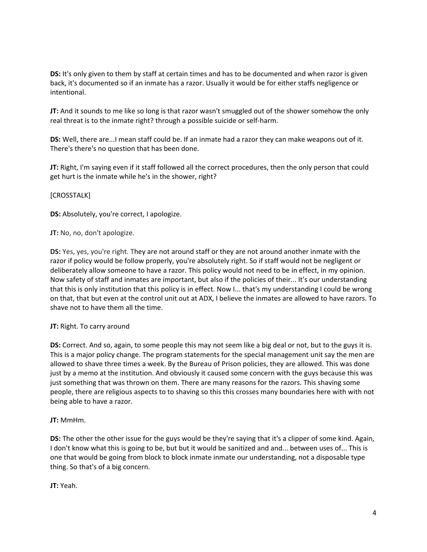**DS:** It's only given to them by staff at certain times and has to be documented and when razor is given back, it's documented so if an inmate has a razor. Usually it would be for either staffs negligence or intentional.

**JT:** And it sounds to me like so long is that razor wasn't smuggled out of the shower somehow the only real threat is to the inmate right? through a possible suicide or self-harm.

**DS:** Well, there are...I mean staff could be. If an inmate had a razor they can make weapons out of it. There's there's no question that has been done.

**JT:** Right, I'm saying even if it staff followed all the correct procedures, then the only person that could get hurt is the inmate while he's in the shower, right?

### [CROSSTALK]

**DS:** Absolutely, you're correct, I apologize.

**JT:** No, no, don't apologize.

**DS:** Yes, yes, you're right. They are not around staff or they are not around another inmate with the razor if policy would be follow properly, you're absolutely right. So if staff would not be negligent or deliberately allow someone to have a razor. This policy would not need to be in effect, in my opinion. Now safety of staff and inmates are important, but also if the policies of their... It's our understanding that this is only institution that this policy is in effect. Now I... that's my understanding I could be wrong on that, that but even at the control unit out at ADX, I believe the inmates are allowed to have razors. To shave not to have them all the time.

# **JT:** Right. To carry around

**DS:** Correct. And so, again, to some people this may not seem like a big deal or not, but to the guys it is. This is a major policy change. The program statements for the special management unit say the men are allowed to shave three times a week. By the Bureau of Prison policies, they are allowed. This was done just by a memo at the institution. And obviously it caused some concern with the guys because this was just something that was thrown on them. There are many reasons for the razors. This shaving some people, there are religious aspects to to shaving so this this crosses many boundaries here with with not being able to have a razor.

#### **JT:** MmHm.

**DS:** The other the other issue for the guys would be they're saying that it's a clipper of some kind. Again, I don't know what this is going to be, but but it would be sanitized and and... between uses of... This is one that would be going from block to block inmate inmate our understanding, not a disposable type thing. So that's of a big concern.

**JT:** Yeah.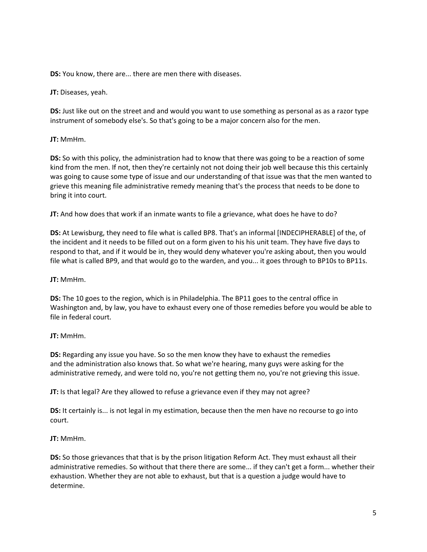**DS:** You know, there are... there are men there with diseases.

**JT:** Diseases, yeah.

**DS:** Just like out on the street and and would you want to use something as personal as as a razor type instrument of somebody else's. So that's going to be a major concern also for the men.

**JT:** MmHm.

**DS:** So with this policy, the administration had to know that there was going to be a reaction of some kind from the men. If not, then they're certainly not not doing their job well because this this certainly was going to cause some type of issue and our understanding of that issue was that the men wanted to grieve this meaning file administrative remedy meaning that's the process that needs to be done to bring it into court.

**JT:** And how does that work if an inmate wants to file a grievance, what does he have to do?

**DS:** At Lewisburg, they need to file what is called BP8. That's an informal [INDECIPHERABLE] of the, of the incident and it needs to be filled out on a form given to his his unit team. They have five days to respond to that, and if it would be in, they would deny whatever you're asking about, then you would file what is called BP9, and that would go to the warden, and you... it goes through to BP10s to BP11s.

**JT:** MmHm.

**DS:** The 10 goes to the region, which is in Philadelphia. The BP11 goes to the central office in Washington and, by law, you have to exhaust every one of those remedies before you would be able to file in federal court.

# **JT:** MmHm.

**DS:** Regarding any issue you have. So so the men know they have to exhaust the remedies and the administration also knows that. So what we're hearing, many guys were asking for the administrative remedy, and were told no, you're not getting them no, you're not grieving this issue.

**JT:** Is that legal? Are they allowed to refuse a grievance even if they may not agree?

**DS:** It certainly is... is not legal in my estimation, because then the men have no recourse to go into court.

**JT:** MmHm.

**DS:** So those grievances that that is by the prison litigation Reform Act. They must exhaust all their administrative remedies. So without that there there are some... if they can't get a form... whether their exhaustion. Whether they are not able to exhaust, but that is a question a judge would have to determine.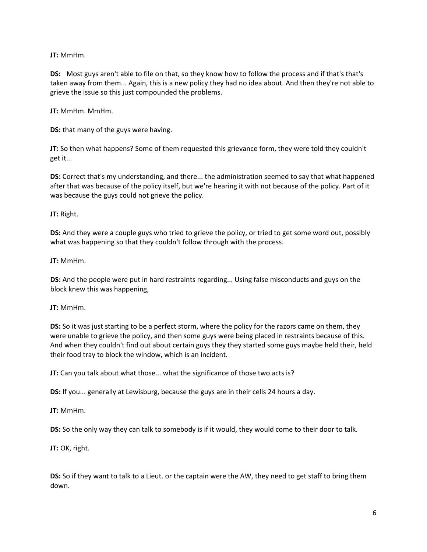**JT:** MmHm.

**DS:** Most guys aren't able to file on that, so they know how to follow the process and if that's that's taken away from them... Again, this is a new policy they had no idea about. And then they're not able to grieve the issue so this just compounded the problems.

**JT:** MmHm. MmHm.

**DS:** that many of the guys were having.

**JT:** So then what happens? Some of them requested this grievance form, they were told they couldn't get it...

**DS:** Correct that's my understanding, and there... the administration seemed to say that what happened after that was because of the policy itself, but we're hearing it with not because of the policy. Part of it was because the guys could not grieve the policy.

**JT:** Right.

**DS:** And they were a couple guys who tried to grieve the policy, or tried to get some word out, possibly what was happening so that they couldn't follow through with the process.

**JT:** MmHm.

**DS:** And the people were put in hard restraints regarding... Using false misconducts and guys on the block knew this was happening,

**JT:** MmHm.

**DS:** So it was just starting to be a perfect storm, where the policy for the razors came on them, they were unable to grieve the policy, and then some guys were being placed in restraints because of this. And when they couldn't find out about certain guys they they started some guys maybe held their, held their food tray to block the window, which is an incident.

**JT:** Can you talk about what those... what the significance of those two acts is?

**DS:** If you... generally at Lewisburg, because the guys are in their cells 24 hours a day.

**JT:** MmHm.

**DS:** So the only way they can talk to somebody is if it would, they would come to their door to talk.

**JT:** OK, right.

**DS:** So if they want to talk to a Lieut. or the captain were the AW, they need to get staff to bring them down.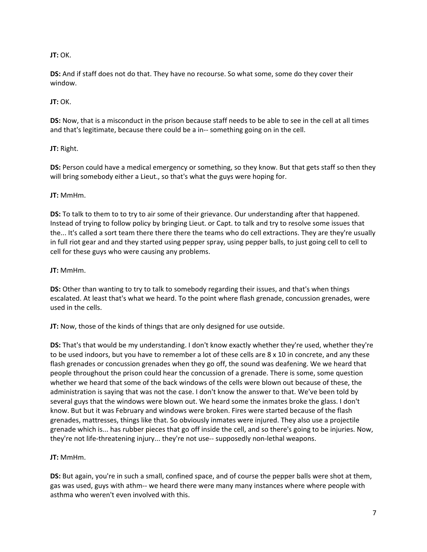## **JT:** OK.

**DS:** And if staff does not do that. They have no recourse. So what some, some do they cover their window.

#### **JT:** OK.

**DS:** Now, that is a misconduct in the prison because staff needs to be able to see in the cell at all times and that's legitimate, because there could be a in-- something going on in the cell.

### **JT:** Right.

**DS:** Person could have a medical emergency or something, so they know. But that gets staff so then they will bring somebody either a Lieut., so that's what the guys were hoping for.

#### **JT:** MmHm.

**DS:** To talk to them to to try to air some of their grievance. Our understanding after that happened. Instead of trying to follow policy by bringing Lieut. or Capt. to talk and try to resolve some issues that the... It's called a sort team there there there the teams who do cell extractions. They are they're usually in full riot gear and and they started using pepper spray, using pepper balls, to just going cell to cell to cell for these guys who were causing any problems.

### **JT:** MmHm.

**DS:** Other than wanting to try to talk to somebody regarding their issues, and that's when things escalated. At least that's what we heard. To the point where flash grenade, concussion grenades, were used in the cells.

**JT:** Now, those of the kinds of things that are only designed for use outside.

**DS:** That's that would be my understanding. I don't know exactly whether they're used, whether they're to be used indoors, but you have to remember a lot of these cells are 8 x 10 in concrete, and any these flash grenades or concussion grenades when they go off, the sound was deafening. We we heard that people throughout the prison could hear the concussion of a grenade. There is some, some question whether we heard that some of the back windows of the cells were blown out because of these, the administration is saying that was not the case. I don't know the answer to that. We've been told by several guys that the windows were blown out. We heard some the inmates broke the glass. I don't know. But but it was February and windows were broken. Fires were started because of the flash grenades, mattresses, things like that. So obviously inmates were injured. They also use a projectile grenade which is... has rubber pieces that go off inside the cell, and so there's going to be injuries. Now, they're not life-threatening injury... they're not use-- supposedly non-lethal weapons.

# **JT:** MmHm.

**DS:** But again, you're in such a small, confined space, and of course the pepper balls were shot at them, gas was used, guys with athm-- we heard there were many many instances where where people with asthma who weren't even involved with this.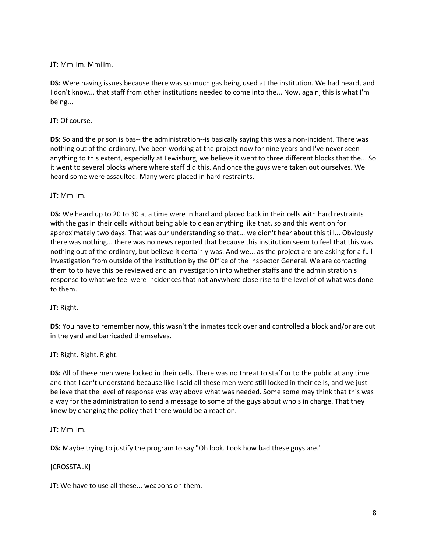**JT:** MmHm. MmHm.

**DS:** Were having issues because there was so much gas being used at the institution. We had heard, and I don't know... that staff from other institutions needed to come into the... Now, again, this is what I'm being...

**JT:** Of course.

**DS:** So and the prison is bas-- the administration--is basically saying this was a non-incident. There was nothing out of the ordinary. I've been working at the project now for nine years and I've never seen anything to this extent, especially at Lewisburg, we believe it went to three different blocks that the... So it went to several blocks where where staff did this. And once the guys were taken out ourselves. We heard some were assaulted. Many were placed in hard restraints.

**JT:** MmHm.

**DS:** We heard up to 20 to 30 at a time were in hard and placed back in their cells with hard restraints with the gas in their cells without being able to clean anything like that, so and this went on for approximately two days. That was our understanding so that... we didn't hear about this till... Obviously there was nothing... there was no news reported that because this institution seem to feel that this was nothing out of the ordinary, but believe it certainly was. And we... as the project are are asking for a full investigation from outside of the institution by the Office of the Inspector General. We are contacting them to to have this be reviewed and an investigation into whether staffs and the administration's response to what we feel were incidences that not anywhere close rise to the level of of what was done to them.

**JT:** Right.

**DS:** You have to remember now, this wasn't the inmates took over and controlled a block and/or are out in the yard and barricaded themselves.

**JT:** Right. Right. Right.

**DS:** All of these men were locked in their cells. There was no threat to staff or to the public at any time and that I can't understand because like I said all these men were still locked in their cells, and we just believe that the level of response was way above what was needed. Some some may think that this was a way for the administration to send a message to some of the guys about who's in charge. That they knew by changing the policy that there would be a reaction.

**JT:** MmHm.

**DS:** Maybe trying to justify the program to say "Oh look. Look how bad these guys are."

#### [CROSSTALK]

**JT:** We have to use all these... weapons on them.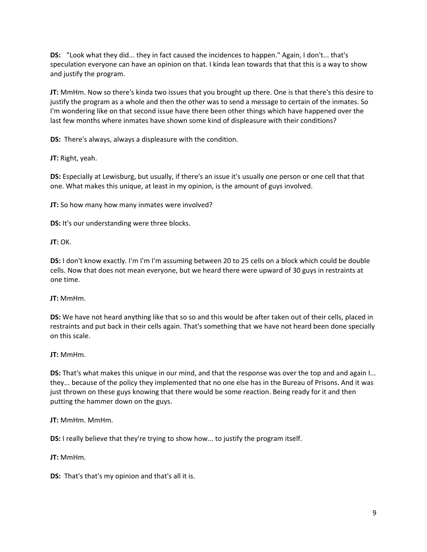**DS:** "Look what they did... they in fact caused the incidences to happen." Again, I don't... that's speculation everyone can have an opinion on that. I kinda lean towards that that this is a way to show and justify the program.

**JT:** MmHm. Now so there's kinda two issues that you brought up there. One is that there's this desire to justify the program as a whole and then the other was to send a message to certain of the inmates. So I'm wondering like on that second issue have there been other things which have happened over the last few months where inmates have shown some kind of displeasure with their conditions?

**DS:** There's always, always a displeasure with the condition.

**JT:** Right, yeah.

**DS:** Especially at Lewisburg, but usually, if there's an issue it's usually one person or one cell that that one. What makes this unique, at least in my opinion, is the amount of guys involved.

**JT:** So how many how many inmates were involved?

**DS:** It's our understanding were three blocks.

**JT:** OK.

**DS:** I don't know exactly. I'm I'm I'm assuming between 20 to 25 cells on a block which could be double cells. Now that does not mean everyone, but we heard there were upward of 30 guys in restraints at one time.

#### **JT:** MmHm.

**DS:** We have not heard anything like that so so and this would be after taken out of their cells, placed in restraints and put back in their cells again. That's something that we have not heard been done specially on this scale.

#### **JT:** MmHm.

**DS:** That's what makes this unique in our mind, and that the response was over the top and and again I... they... because of the policy they implemented that no one else has in the Bureau of Prisons. And it was just thrown on these guys knowing that there would be some reaction. Being ready for it and then putting the hammer down on the guys.

**JT:** MmHm. MmHm.

**DS:** I really believe that they're trying to show how... to justify the program itself.

**JT:** MmHm.

**DS:** That's that's my opinion and that's all it is.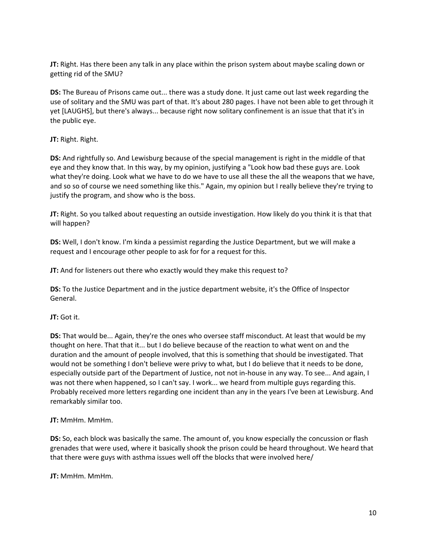**JT:** Right. Has there been any talk in any place within the prison system about maybe scaling down or getting rid of the SMU?

**DS:** The Bureau of Prisons came out... there was a study done. It just came out last week regarding the use of solitary and the SMU was part of that. It's about 280 pages. I have not been able to get through it yet [LAUGHS], but there's always... because right now solitary confinement is an issue that that it's in the public eye.

#### **JT:** Right. Right.

**DS:** And rightfully so. And Lewisburg because of the special management is right in the middle of that eye and they know that. In this way, by my opinion, justifying a "Look how bad these guys are. Look what they're doing. Look what we have to do we have to use all these the all the weapons that we have, and so so of course we need something like this." Again, my opinion but I really believe they're trying to justify the program, and show who is the boss.

**JT:** Right. So you talked about requesting an outside investigation. How likely do you think it is that that will happen?

**DS:** Well, I don't know. I'm kinda a pessimist regarding the Justice Department, but we will make a request and I encourage other people to ask for for a request for this.

**JT:** And for listeners out there who exactly would they make this request to?

**DS:** To the Justice Department and in the justice department website, it's the Office of Inspector General.

#### **JT:** Got it.

**DS:** That would be... Again, they're the ones who oversee staff misconduct. At least that would be my thought on here. That that it... but I do believe because of the reaction to what went on and the duration and the amount of people involved, that this is something that should be investigated. That would not be something I don't believe were privy to what, but I do believe that it needs to be done, especially outside part of the Department of Justice, not not in-house in any way. To see... And again, I was not there when happened, so I can't say. I work... we heard from multiple guys regarding this. Probably received more letters regarding one incident than any in the years I've been at Lewisburg. And remarkably similar too.

#### **JT:** MmHm. MmHm.

**DS:** So, each block was basically the same. The amount of, you know especially the concussion or flash grenades that were used, where it basically shook the prison could be heard throughout. We heard that that there were guys with asthma issues well off the blocks that were involved here/

**JT:** MmHm. MmHm.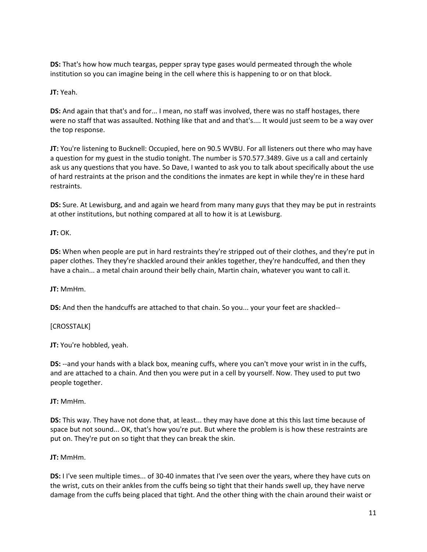**DS:** That's how how much teargas, pepper spray type gases would permeated through the whole institution so you can imagine being in the cell where this is happening to or on that block.

**JT:** Yeah.

**DS:** And again that that's and for... I mean, no staff was involved, there was no staff hostages, there were no staff that was assaulted. Nothing like that and and that's.... It would just seem to be a way over the top response.

**JT:** You're listening to Bucknell: Occupied, here on 90.5 WVBU. For all listeners out there who may have a question for my guest in the studio tonight. The number is 570.577.3489. Give us a call and certainly ask us any questions that you have. So Dave, I wanted to ask you to talk about specifically about the use of hard restraints at the prison and the conditions the inmates are kept in while they're in these hard restraints.

**DS:** Sure. At Lewisburg, and and again we heard from many many guys that they may be put in restraints at other institutions, but nothing compared at all to how it is at Lewisburg.

**JT:** OK.

**DS:** When when people are put in hard restraints they're stripped out of their clothes, and they're put in paper clothes. They they're shackled around their ankles together, they're handcuffed, and then they have a chain... a metal chain around their belly chain, Martin chain, whatever you want to call it.

**JT:** MmHm.

**DS:** And then the handcuffs are attached to that chain. So you... your your feet are shackled--

[CROSSTALK]

**JT:** You're hobbled, yeah.

**DS:** --and your hands with a black box, meaning cuffs, where you can't move your wrist in in the cuffs, and are attached to a chain. And then you were put in a cell by yourself. Now. They used to put two people together.

**JT:** MmHm.

**DS:** This way. They have not done that, at least... they may have done at this this last time because of space but not sound... OK, that's how you're put. But where the problem is is how these restraints are put on. They're put on so tight that they can break the skin.

**JT:** MmHm.

**DS:** I I've seen multiple times... of 30-40 inmates that I've seen over the years, where they have cuts on the wrist, cuts on their ankles from the cuffs being so tight that their hands swell up, they have nerve damage from the cuffs being placed that tight. And the other thing with the chain around their waist or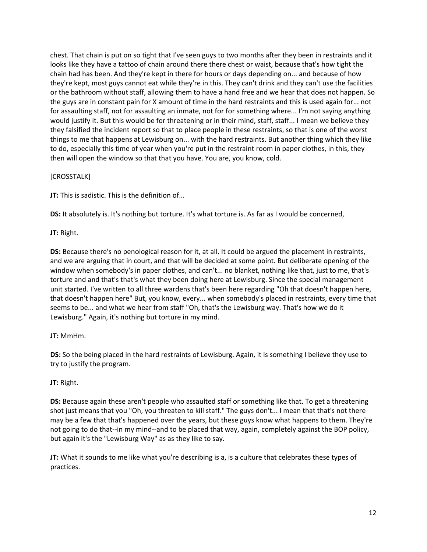chest. That chain is put on so tight that I've seen guys to two months after they been in restraints and it looks like they have a tattoo of chain around there there chest or waist, because that's how tight the chain had has been. And they're kept in there for hours or days depending on... and because of how they're kept, most guys cannot eat while they're in this. They can't drink and they can't use the facilities or the bathroom without staff, allowing them to have a hand free and we hear that does not happen. So the guys are in constant pain for X amount of time in the hard restraints and this is used again for... not for assaulting staff, not for assaulting an inmate, not for for something where... I'm not saying anything would justify it. But this would be for threatening or in their mind, staff, staff... I mean we believe they they falsified the incident report so that to place people in these restraints, so that is one of the worst things to me that happens at Lewisburg on... with the hard restraints. But another thing which they like to do, especially this time of year when you're put in the restraint room in paper clothes, in this, they then will open the window so that that you have. You are, you know, cold.

### [CROSSTALK]

**JT:** This is sadistic. This is the definition of...

**DS:** It absolutely is. It's nothing but torture. It's what torture is. As far as I would be concerned,

**JT:** Right.

**DS:** Because there's no penological reason for it, at all. It could be argued the placement in restraints, and we are arguing that in court, and that will be decided at some point. But deliberate opening of the window when somebody's in paper clothes, and can't... no blanket, nothing like that, just to me, that's torture and and that's that's what they been doing here at Lewisburg. Since the special management unit started. I've written to all three wardens that's been here regarding "Oh that doesn't happen here, that doesn't happen here" But, you know, every... when somebody's placed in restraints, every time that seems to be... and what we hear from staff "Oh, that's the Lewisburg way. That's how we do it Lewisburg." Again, it's nothing but torture in my mind.

# **JT:** MmHm.

**DS:** So the being placed in the hard restraints of Lewisburg. Again, it is something I believe they use to try to justify the program.

# **JT:** Right.

**DS:** Because again these aren't people who assaulted staff or something like that. To get a threatening shot just means that you "Oh, you threaten to kill staff." The guys don't... I mean that that's not there may be a few that that's happened over the years, but these guys know what happens to them. They're not going to do that--in my mind--and to be placed that way, again, completely against the BOP policy, but again it's the "Lewisburg Way" as as they like to say.

**JT:** What it sounds to me like what you're describing is a, is a culture that celebrates these types of practices.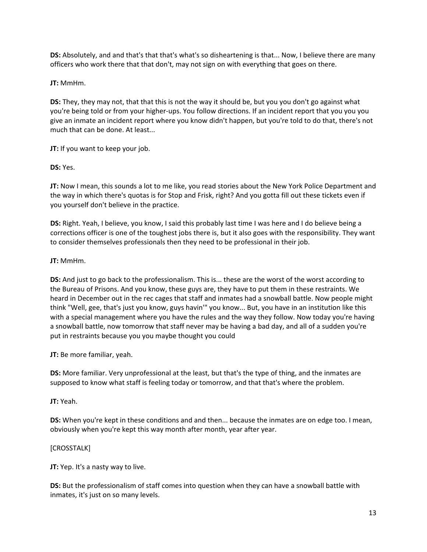**DS:** Absolutely, and and that's that that's what's so disheartening is that... Now, I believe there are many officers who work there that that don't, may not sign on with everything that goes on there.

**JT:** MmHm.

**DS:** They, they may not, that that this is not the way it should be, but you you don't go against what you're being told or from your higher-ups. You follow directions. If an incident report that you you you give an inmate an incident report where you know didn't happen, but you're told to do that, there's not much that can be done. At least...

**JT:** If you want to keep your job.

**DS:** Yes.

**JT:** Now I mean, this sounds a lot to me like, you read stories about the New York Police Department and the way in which there's quotas is for Stop and Frisk, right? And you gotta fill out these tickets even if you yourself don't believe in the practice.

**DS:** Right. Yeah, I believe, you know, I said this probably last time I was here and I do believe being a corrections officer is one of the toughest jobs there is, but it also goes with the responsibility. They want to consider themselves professionals then they need to be professional in their job.

**JT:** MmHm.

**DS:** And just to go back to the professionalism. This is... these are the worst of the worst according to the Bureau of Prisons. And you know, these guys are, they have to put them in these restraints. We heard in December out in the rec cages that staff and inmates had a snowball battle. Now people might think "Well, gee, that's just you know, guys havin'" you know... But, you have in an institution like this with a special management where you have the rules and the way they follow. Now today you're having a snowball battle, now tomorrow that staff never may be having a bad day, and all of a sudden you're put in restraints because you you maybe thought you could

**JT:** Be more familiar, yeah.

**DS:** More familiar. Very unprofessional at the least, but that's the type of thing, and the inmates are supposed to know what staff is feeling today or tomorrow, and that that's where the problem.

**JT:** Yeah.

**DS:** When you're kept in these conditions and and then... because the inmates are on edge too. I mean, obviously when you're kept this way month after month, year after year.

# [CROSSTALK]

**JT:** Yep. It's a nasty way to live.

**DS:** But the professionalism of staff comes into question when they can have a snowball battle with inmates, it's just on so many levels.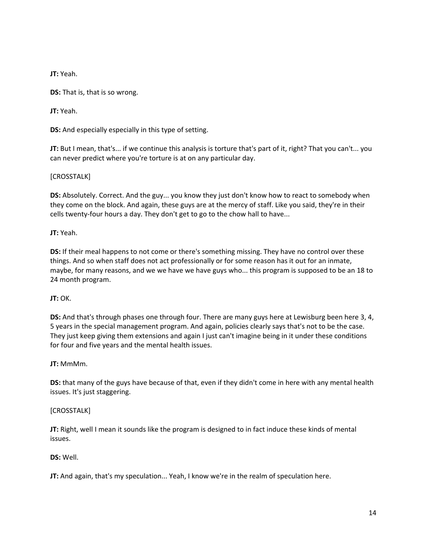**JT:** Yeah.

**DS:** That is, that is so wrong.

**JT:** Yeah.

**DS:** And especially especially in this type of setting.

**JT:** But I mean, that's... if we continue this analysis is torture that's part of it, right? That you can't... you can never predict where you're torture is at on any particular day.

### [CROSSTALK]

**DS:** Absolutely. Correct. And the guy... you know they just don't know how to react to somebody when they come on the block. And again, these guys are at the mercy of staff. Like you said, they're in their cells twenty-four hours a day. They don't get to go to the chow hall to have...

**JT:** Yeah.

**DS:** If their meal happens to not come or there's something missing. They have no control over these things. And so when staff does not act professionally or for some reason has it out for an inmate, maybe, for many reasons, and we we have we have guys who... this program is supposed to be an 18 to 24 month program.

# **JT:** OK.

**DS:** And that's through phases one through four. There are many guys here at Lewisburg been here 3, 4, 5 years in the special management program. And again, policies clearly says that's not to be the case. They just keep giving them extensions and again I just can't imagine being in it under these conditions for four and five years and the mental health issues.

# **JT:** MmMm.

**DS:** that many of the guys have because of that, even if they didn't come in here with any mental health issues. It's just staggering.

#### [CROSSTALK]

**JT:** Right, well I mean it sounds like the program is designed to in fact induce these kinds of mental issues.

#### **DS:** Well.

**JT:** And again, that's my speculation... Yeah, I know we're in the realm of speculation here.